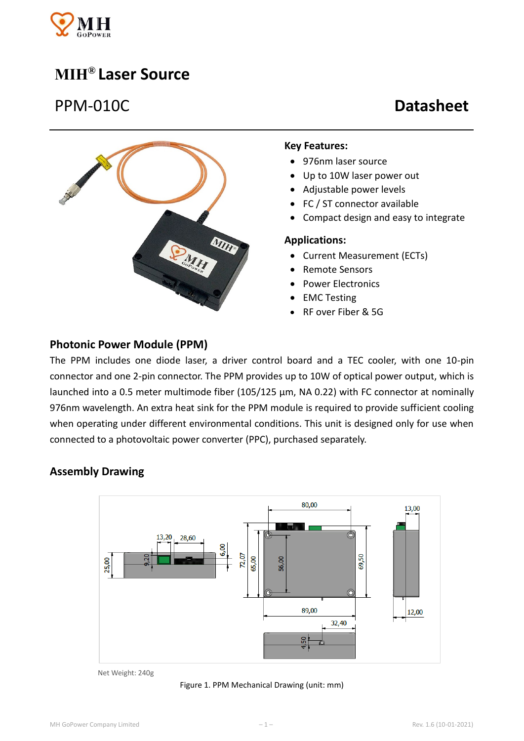

## **MIH® Laser Source**

# PPM-010C **Datasheet**



#### **Key Features:**

- 976nm laser source
- Up to 10W laser power out
- Adjustable power levels
- FC / ST connector available
- Compact design and easy to integrate

#### **Applications:**

- Current Measurement (ECTs)
- Remote Sensors
- Power Electronics
- EMC Testing
- RF over Fiber & 5G

#### **Photonic Power Module (PPM)**

The PPM includes one diode laser, a driver control board and a TEC cooler, with one 10-pin connector and one 2-pin connector. The PPM provides up to 10W of optical power output, which is launched into a 0.5 meter multimode fiber (105/125 μm, NA 0.22) with FC connector at nominally 976nm wavelength. An extra heat sink for the PPM module is required to provide sufficient cooling when operating under different environmental conditions. This unit is designed only for use when connected to a photovoltaic power converter (PPC), purchased separately.

#### **Assembly Drawing**



Net Weight: 240g

Figure 1. PPM Mechanical Drawing (unit: mm)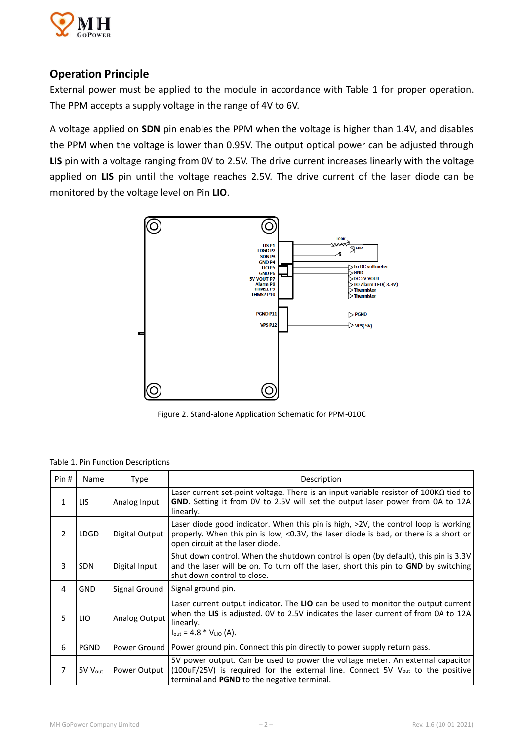

## **Operation Principle**

External power must be applied to the module in accordance with Table 1 for proper operation. The PPM accepts a supply voltage in the range of 4V to 6V.

A voltage applied on **SDN** pin enables the PPM when the voltage is higher than 1.4V, and disables the PPM when the voltage is lower than 0.95V. The output optical power can be adjusted through **LIS** pin with a voltage ranging from 0V to 2.5V. The drive current increases linearly with the voltage applied on **LIS** pin until the voltage reaches 2.5V. The drive current of the laser diode can be monitored by the voltage level on Pin **LIO**.



Figure 2. Stand-alone Application Schematic for PPM-010C

Table 1. Pin Function Descriptions

| Pin#           | Name                | Type           | Description                                                                                                                                                                                                                           |  |  |
|----------------|---------------------|----------------|---------------------------------------------------------------------------------------------------------------------------------------------------------------------------------------------------------------------------------------|--|--|
| 1              | LIS                 | Analog Input   | Laser current set-point voltage. There is an input variable resistor of 100K $\Omega$ tied to<br>GND. Setting it from OV to 2.5V will set the output laser power from 0A to 12A<br>linearly.                                          |  |  |
| $\overline{2}$ | <b>LDGD</b>         | Digital Output | Laser diode good indicator. When this pin is high, $>2V$ , the control loop is working<br>properly. When this pin is low, <0.3V, the laser diode is bad, or there is a short or<br>open circuit at the laser diode.                   |  |  |
| 3              | <b>SDN</b>          | Digital Input  | Shut down control. When the shutdown control is open (by default), this pin is 3.3V<br>and the laser will be on. To turn off the laser, short this pin to <b>GND</b> by switching<br>shut down control to close.                      |  |  |
| 4              | <b>GND</b>          | Signal Ground  | Signal ground pin.                                                                                                                                                                                                                    |  |  |
| 5              | LIO                 | Analog Output  | Laser current output indicator. The LIO can be used to monitor the output current<br>when the LIS is adjusted. OV to 2.5V indicates the laser current of from 0A to 12A<br>linearly.<br>$I_{\text{out}} = 4.8 * V_{\text{LIO}} (A)$ . |  |  |
| 6              | PGND                | Power Ground   | Power ground pin. Connect this pin directly to power supply return pass.                                                                                                                                                              |  |  |
| 7              | 5V V <sub>out</sub> | Power Output   | 5V power output. Can be used to power the voltage meter. An external capacitor<br>(100uF/25V) is required for the external line. Connect 5V V <sub>out</sub> to the positive<br>terminal and <b>PGND</b> to the negative terminal.    |  |  |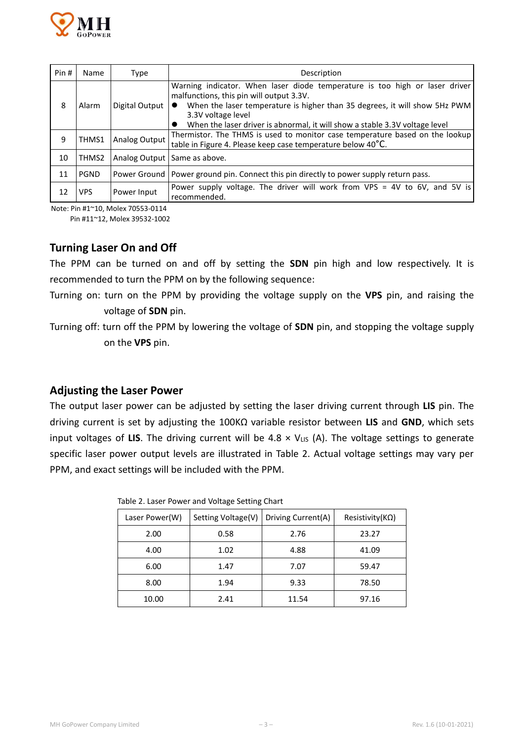

| Pin # | <b>Name</b> | Type           | Description                                                                                                                                                                                                                                                                                                             |  |  |  |  |
|-------|-------------|----------------|-------------------------------------------------------------------------------------------------------------------------------------------------------------------------------------------------------------------------------------------------------------------------------------------------------------------------|--|--|--|--|
| 8     | Alarm       | Digital Output | Warning indicator. When laser diode temperature is too high or laser driver<br>malfunctions, this pin will output 3.3V.<br>When the laser temperature is higher than 35 degrees, it will show 5Hz PWM<br>$\bullet$<br>3.3V voltage level<br>When the laser driver is abnormal, it will show a stable 3.3V voltage level |  |  |  |  |
| 9     | THMS1       | Analog Output  | Thermistor. The THMS is used to monitor case temperature based on the lookup<br>table in Figure 4. Please keep case temperature below 40°C.                                                                                                                                                                             |  |  |  |  |
| 10    | THMS2       |                | Analog Output   Same as above.                                                                                                                                                                                                                                                                                          |  |  |  |  |
| 11    | <b>PGND</b> |                | Power Ground   Power ground pin. Connect this pin directly to power supply return pass.                                                                                                                                                                                                                                 |  |  |  |  |
| 12    | <b>VPS</b>  | Power Input    | Power supply voltage. The driver will work from VPS = 4V to 6V, and 5V is<br>recommended.                                                                                                                                                                                                                               |  |  |  |  |

Note: Pin #1~10, Molex 70553-0114

Pin #11~12, Molex 39532-1002

#### **Turning Laser On and Off**

The PPM can be turned on and off by setting the **SDN** pin high and low respectively. It is recommended to turn the PPM on by the following sequence:

Turning on: turn on the PPM by providing the voltage supply on the **VPS** pin, and raising the voltage of **SDN** pin.

Turning off: turn off the PPM by lowering the voltage of **SDN** pin, and stopping the voltage supply on the **VPS** pin.

#### **Adjusting the Laser Power**

The output laser power can be adjusted by setting the laser driving current through **LIS** pin. The driving current is set by adjusting the 100KΩ variable resistor between **LIS** and **GND**, which sets input voltages of LIS. The driving current will be  $4.8 \times V_{LIS}$  (A). The voltage settings to generate specific laser power output levels are illustrated in Table 2. Actual voltage settings may vary per PPM, and exact settings will be included with the PPM.

| Laser Power(W) | Setting Voltage(V) | Driving Current(A) | Resistivity( $K\Omega$ ) |  |
|----------------|--------------------|--------------------|--------------------------|--|
| 2.00           | 0.58               | 2.76               | 23.27                    |  |
| 4.00           | 1.02               | 4.88               | 41.09                    |  |
| 6.00           | 1.47               | 7.07               | 59.47                    |  |
| 8.00           | 1.94               | 9.33               | 78.50                    |  |
| 10.00          | 2.41               | 11.54              | 97.16                    |  |

Table 2. Laser Power and Voltage Setting Chart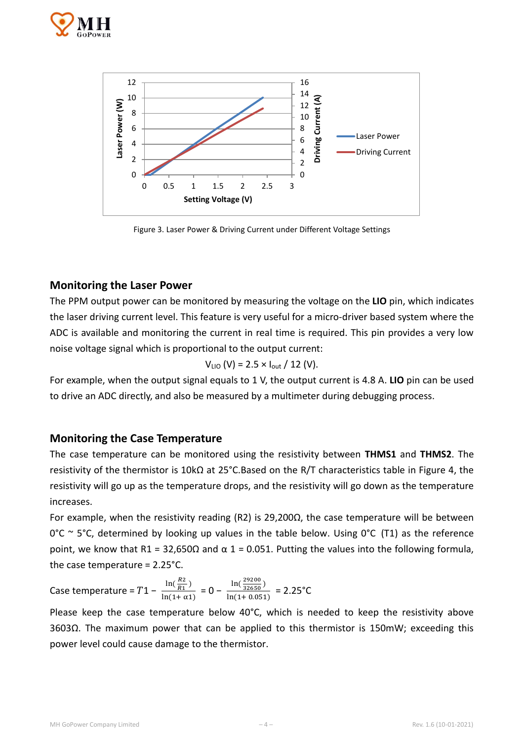



Figure 3. Laser Power & Driving Current under Different Voltage Settings

#### **Monitoring the Laser Power**

The PPM output power can be monitored by measuring the voltage on the **LIO** pin, which indicates the laser driving current level. This feature is very useful for a micro-driver based system where the ADC is available and monitoring the current in real time is required. This pin provides a very low noise voltage signal which is proportional to the output current:

$$
V_{LIO} (V) = 2.5 \times I_{out} / 12 (V).
$$

For example, when the output signal equals to 1 V, the output current is 4.8 A. **LIO** pin can be used to drive an ADC directly, and also be measured by a multimeter during debugging process.

#### **Monitoring the Case Temperature**

The case temperature can be monitored using the resistivity between **THMS1** and **THMS2**. The resistivity of the thermistor is 10kΩ at 25°C.Based on the R/T characteristics table in Figure 4, the resistivity will go up as the temperature drops, and the resistivity will go down as the temperature increases.

For example, when the resistivity reading (R2) is 29,200 $\Omega$ , the case temperature will be between  $0^{\circ}$ C ~ 5<sup>o</sup>C, determined by looking up values in the table below. Using  $0^{\circ}$ C (T1) as the reference point, we know that R1 = 32,650Ω and  $\alpha$  1 = 0.051. Putting the values into the following formula, the case temperature = 2.25°C.

Case temperature =  $T1 - \frac{\ln(\frac{R2}{R1})}{\ln(1+a)}$  $\frac{R_2}{R_1}$  $\frac{\ln(\frac{R2}{R1})}{\ln(1+\alpha1)} = 0 - \frac{\ln(\frac{29200}{32650})}{\ln(1+0.051)}$  $\frac{10(1+0.051)}{\ln(1+0.051)}$  = 2.25°C

Please keep the case temperature below 40°C, which is needed to keep the resistivity above 3603Ω. The maximum power that can be applied to this thermistor is 150mW; exceeding this power level could cause damage to the thermistor.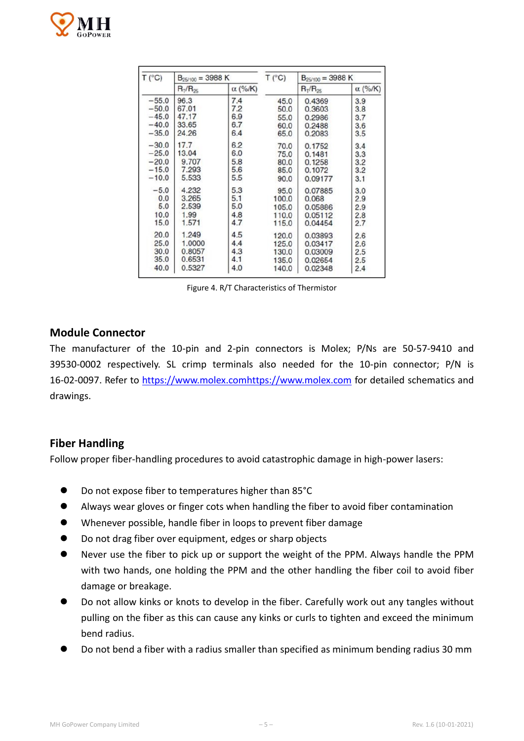

| T (°C)  | $B_{25/100} = 3988 K$ |                | T (°C) | $B_{25/100} = 3988 K$ |                |
|---------|-----------------------|----------------|--------|-----------------------|----------------|
|         | $R_T/R_{25}$          | $\alpha$ (%/K) |        | $R_T/R_{25}$          | $\alpha$ (%/K) |
| $-55.0$ | 96.3                  | 7.4            | 45.0   | 0.4369                | 3.9            |
| $-50.0$ | 67.01                 | 7.2            | 50,0   | 0.3603                | 3.8            |
| $-45.0$ | 47.17                 | 6.9            | 55.0   | 0.2986                | 3.7            |
| $-40.0$ | 33.65                 | 6.7            | 60.0   | 0.2488                | 3.6            |
| $-35.0$ | 24.26                 | 6.4            | 65.0   | 0.2083                | 3.5            |
| $-30.0$ | 17.7                  | 6.2            | 70.0   | 0.1752                | 3.4            |
| $-25.0$ | 13.04                 | 6.0            | 75.0   | 0.1481                | 3.3            |
| $-20.0$ | 9.707                 | 5.8            | 80.0   | 0.1258                | 3.2            |
| $-15.0$ | 7.293                 | 5.6            | 85.0   | 0.1072                | 3.2            |
| $-10.0$ | 5.533                 | 5.5            | 90.0   | 0.09177               | 3.1            |
| $-5.0$  | 4.232                 | 5.3            | 95.0   | 0.07885               | 3.0            |
| 0.0     | 3.265                 | 5.1            | 100.0  | 0.068                 | 2.9            |
| 5.0     | 2.539                 | 5.0            | 105.0  | 0.05886               | 2.9            |
| 10.0    | 1.99                  | 4.8            | 110.0  | 0.05112               | 2.8            |
| 15.0    | 1.571                 | 4.7            | 115.0  | 0.04454               | 2.7            |
| 20.0    | 1.249                 | 4.5            | 120.0  | 0.03893               | 2.6            |
| 25.0    | 1.0000                | 4.4            | 125.0  | 0.03417               | 2.6            |
| 30.0    | 0.8057                | 4.3            | 130.0  | 0.03009               | 2.5            |
| 35.0    | 0.6531                | 4.1            | 135.0  | 0.02654               | 2.5            |
| 40.0    | 0.5327                | 4.0            | 140.0  | 0.02348               | 2.4            |

Figure 4. R/T Characteristics of Thermistor

#### **Module Connector**

The manufacturer of the 10-pin and 2-pin connectors is Molex; P/Ns are 50-57-9410 and 39530-0002 respectively. SL crimp terminals also needed for the 10-pin connector; P/N is 16-02-0097. Refer to [https://www.molex.comhttps://www.molex.com](https://www.molex.comhttps/www.molex.com) for detailed schematics and drawings.

#### **Fiber Handling**

Follow proper fiber-handling procedures to avoid catastrophic damage in high-power lasers:

- Do not expose fiber to temperatures higher than 85°C
- Always wear gloves or finger cots when handling the fiber to avoid fiber contamination
- Whenever possible, handle fiber in loops to prevent fiber damage
- Do not drag fiber over equipment, edges or sharp objects
- Never use the fiber to pick up or support the weight of the PPM. Always handle the PPM with two hands, one holding the PPM and the other handling the fiber coil to avoid fiber damage or breakage.
- Do not allow kinks or knots to develop in the fiber. Carefully work out any tangles without pulling on the fiber as this can cause any kinks or curls to tighten and exceed the minimum bend radius.
- Do not bend a fiber with a radius smaller than specified as minimum bending radius 30 mm